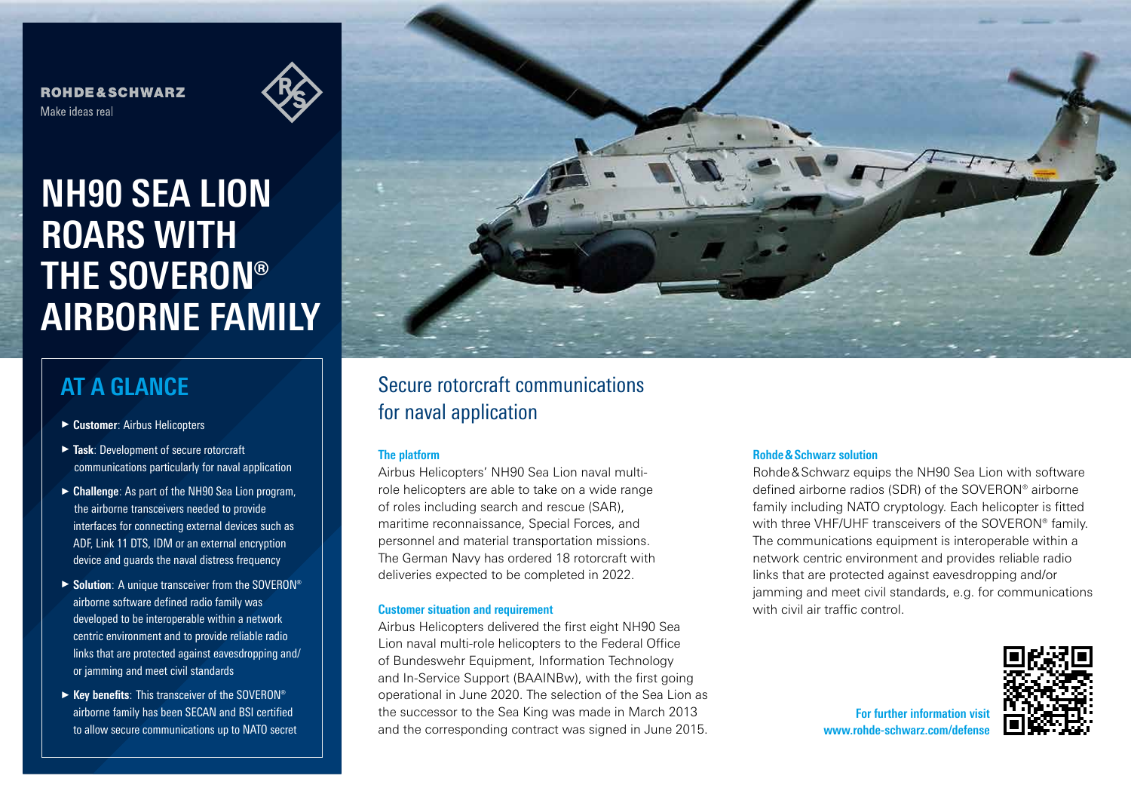**ROHDE&SCHWARZ** Make ideas real



**NH90 SEA LION ROARS WITH THE SOVERON® AIRBORNE FAMILY**

# **AT A GLANCE**

- ► **Customer**: Airbus Helicopters
- ► **Task**: Development of secure rotorcraft communications particularly for naval application
- ► **Challenge**: As part of the NH90 Sea Lion program, the airborne transceivers needed to provide interfaces for connecting external devices such as ADF, Link 11 DTS, IDM or an external encryption device and guards the naval distress frequency
- ► **Solution**: A unique transceiver from the SOVERON® airborne software defined radio family was developed to be interoperable within a network centric environment and to provide reliable radio links that are protected against eavesdropping and/ or jamming and meet civil standards
- ► **Key benefits**: This transceiver of the SOVERON® airborne family has been SECAN and BSI certified to allow secure communications up to NATO secret



## Secure rotorcraft communications for naval application

### **The platform**

Airbus Helicopters' NH90 Sea Lion naval multirole helicopters are able to take on a wide range of roles including search and rescue (SAR), maritime reconnaissance, Special Forces, and personnel and material transportation missions. The German Navy has ordered 18 rotorcraft with deliveries expected to be completed in 2022.

#### **Customer situation and requirement**

Airbus Helicopters delivered the first eight NH90 Sea Lion naval multi-role helicopters to the Federal Office of Bundeswehr Equipment, Information Technology and In-Service Support (BAAINBw), with the first going operational in June 2020. The selection of the Sea Lion as the successor to the Sea King was made in March 2013 and the corresponding contract was signed in June 2015.

#### **Rohde&Schwarz solution**

Rohde&Schwarz equips the NH90 Sea Lion with software defined airborne radios (SDR) of the SOVERON® airborne family including NATO cryptology. Each helicopter is fitted with three VHF/UHF transceivers of the SOVERON® family. The communications equipment is interoperable within a network centric environment and provides reliable radio links that are protected against eavesdropping and/or jamming and meet civil standards, e.g. for communications with civil air traffic control.

> **For further information visit** www.rohde-schwarz.com/defen